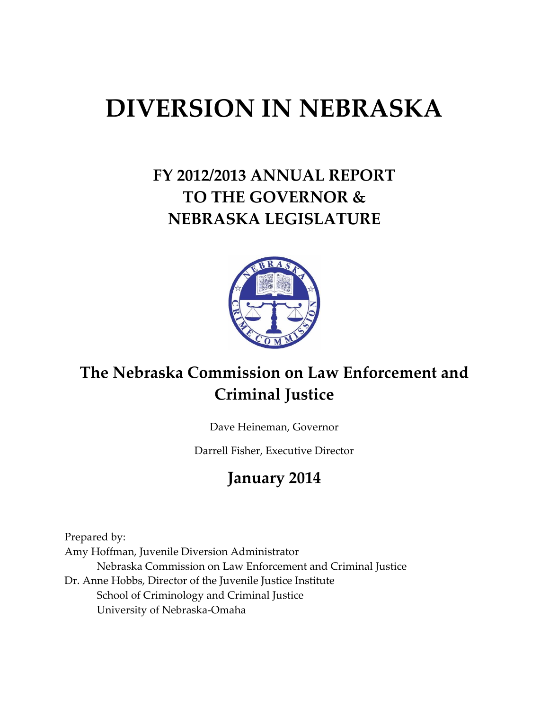# **DIVERSION IN NEBRASKA**

# **FY 2012/2013 ANNUAL REPORT TO THE GOVERNOR & NEBRASKA LEGISLATURE**



## **The Nebraska Commission on Law Enforcement and Criminal Justice**

Dave Heineman, Governor

Darrell Fisher, Executive Director

### **January 2014**

Prepared by: Amy Hoffman, Juvenile Diversion Administrator Nebraska Commission on Law Enforcement and Criminal Justice Dr. Anne Hobbs, Director of the Juvenile Justice Institute School of Criminology and Criminal Justice University of Nebraska-Omaha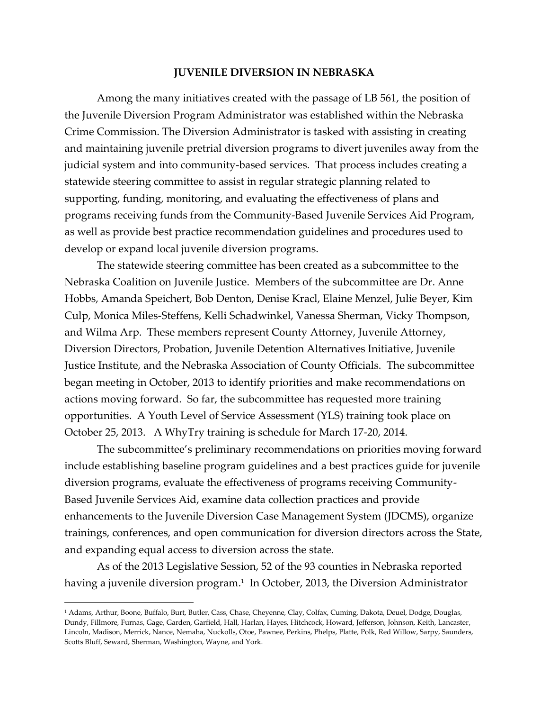#### **JUVENILE DIVERSION IN NEBRASKA**

Among the many initiatives created with the passage of LB 561, the position of the Juvenile Diversion Program Administrator was established within the Nebraska Crime Commission. The Diversion Administrator is tasked with assisting in creating and maintaining juvenile pretrial diversion programs to divert juveniles away from the judicial system and into community-based services. That process includes creating a statewide steering committee to assist in regular strategic planning related to supporting, funding, monitoring, and evaluating the effectiveness of plans and programs receiving funds from the Community-Based Juvenile Services Aid Program, as well as provide best practice recommendation guidelines and procedures used to develop or expand local juvenile diversion programs.

The statewide steering committee has been created as a subcommittee to the Nebraska Coalition on Juvenile Justice. Members of the subcommittee are Dr. Anne Hobbs, Amanda Speichert, Bob Denton, Denise Kracl, Elaine Menzel, Julie Beyer, Kim Culp, Monica Miles-Steffens, Kelli Schadwinkel, Vanessa Sherman, Vicky Thompson, and Wilma Arp. These members represent County Attorney, Juvenile Attorney, Diversion Directors, Probation, Juvenile Detention Alternatives Initiative, Juvenile Justice Institute, and the Nebraska Association of County Officials. The subcommittee began meeting in October, 2013 to identify priorities and make recommendations on actions moving forward. So far, the subcommittee has requested more training opportunities. A Youth Level of Service Assessment (YLS) training took place on October 25, 2013. A WhyTry training is schedule for March 17-20, 2014.

The subcommittee's preliminary recommendations on priorities moving forward include establishing baseline program guidelines and a best practices guide for juvenile diversion programs, evaluate the effectiveness of programs receiving Community-Based Juvenile Services Aid, examine data collection practices and provide enhancements to the Juvenile Diversion Case Management System (JDCMS), organize trainings, conferences, and open communication for diversion directors across the State, and expanding equal access to diversion across the state.

As of the 2013 Legislative Session, 52 of the 93 counties in Nebraska reported having a juvenile diversion program. 1 In October, 2013, the Diversion Administrator

 $\overline{a}$ 

<sup>1</sup> Adams, Arthur, Boone, Buffalo, Burt, Butler, Cass, Chase, Cheyenne, Clay, Colfax, Cuming, Dakota, Deuel, Dodge, Douglas, Dundy, Fillmore, Furnas, Gage, Garden, Garfield, Hall, Harlan, Hayes, Hitchcock, Howard, Jefferson, Johnson, Keith, Lancaster, Lincoln, Madison, Merrick, Nance, Nemaha, Nuckolls, Otoe, Pawnee, Perkins, Phelps, Platte, Polk, Red Willow, Sarpy, Saunders, Scotts Bluff, Seward, Sherman, Washington, Wayne, and York.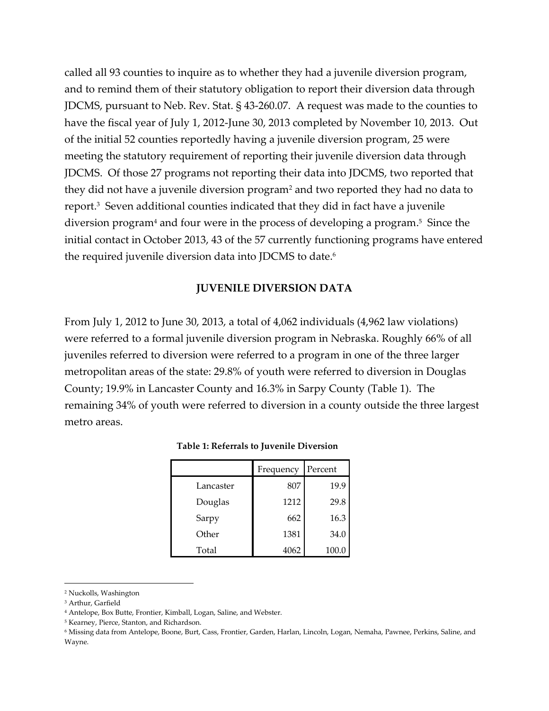called all 93 counties to inquire as to whether they had a juvenile diversion program, and to remind them of their statutory obligation to report their diversion data through JDCMS, pursuant to Neb. Rev. Stat. § 43-260.07. A request was made to the counties to have the fiscal year of July 1, 2012-June 30, 2013 completed by November 10, 2013. Out of the initial 52 counties reportedly having a juvenile diversion program, 25 were meeting the statutory requirement of reporting their juvenile diversion data through JDCMS. Of those 27 programs not reporting their data into JDCMS, two reported that they did not have a juvenile diversion program<sup>2</sup> and two reported they had no data to report. 3 Seven additional counties indicated that they did in fact have a juvenile diversion program<sup>4</sup> and four were in the process of developing a program. 5 Since the initial contact in October 2013, 43 of the 57 currently functioning programs have entered the required juvenile diversion data into JDCMS to date. 6

#### **JUVENILE DIVERSION DATA**

From July 1, 2012 to June 30, 2013, a total of 4,062 individuals (4,962 law violations) were referred to a formal juvenile diversion program in Nebraska. Roughly 66% of all juveniles referred to diversion were referred to a program in one of the three larger metropolitan areas of the state: 29.8% of youth were referred to diversion in Douglas County; 19.9% in Lancaster County and 16.3% in Sarpy County (Table 1). The remaining 34% of youth were referred to diversion in a county outside the three largest metro areas.

|           | Frequency | Percent |  |
|-----------|-----------|---------|--|
| Lancaster | 807       | 19.9    |  |
| Douglas   | 1212      | 29.8    |  |
| Sarpy     | 662       | 16.3    |  |
| Other     | 1381      | 34.0    |  |
| Total     | 4062      | 100.0   |  |

#### **Table 1: Referrals to Juvenile Diversion**

 $\overline{\phantom{a}}$ 

<sup>2</sup> Nuckolls, Washington

<sup>3</sup> Arthur, Garfield

<sup>4</sup> Antelope, Box Butte, Frontier, Kimball, Logan, Saline, and Webster.

<sup>5</sup> Kearney, Pierce, Stanton, and Richardson.

<sup>6</sup> Missing data from Antelope, Boone, Burt, Cass, Frontier, Garden, Harlan, Lincoln, Logan, Nemaha, Pawnee, Perkins, Saline, and Wayne.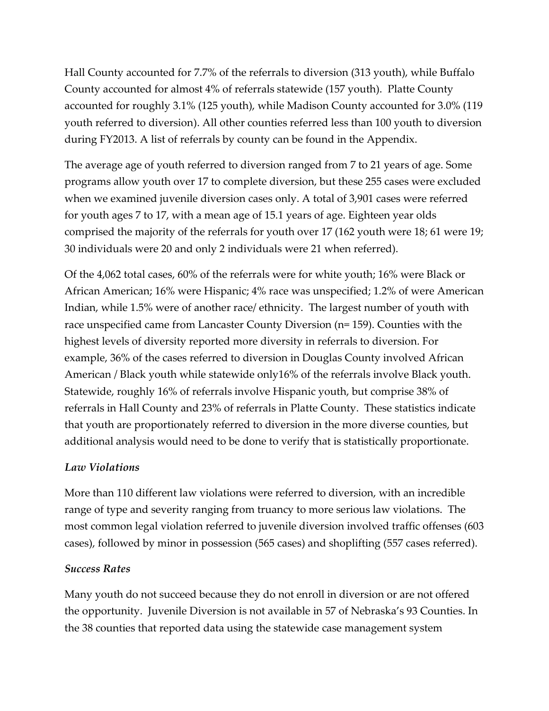Hall County accounted for 7.7% of the referrals to diversion (313 youth), while Buffalo County accounted for almost 4% of referrals statewide (157 youth). Platte County accounted for roughly 3.1% (125 youth), while Madison County accounted for 3.0% (119 youth referred to diversion). All other counties referred less than 100 youth to diversion during FY2013. A list of referrals by county can be found in the Appendix.

The average age of youth referred to diversion ranged from 7 to 21 years of age. Some programs allow youth over 17 to complete diversion, but these 255 cases were excluded when we examined juvenile diversion cases only. A total of 3,901 cases were referred for youth ages 7 to 17, with a mean age of 15.1 years of age. Eighteen year olds comprised the majority of the referrals for youth over 17 (162 youth were 18; 61 were 19; 30 individuals were 20 and only 2 individuals were 21 when referred).

Of the 4,062 total cases, 60% of the referrals were for white youth; 16% were Black or African American; 16% were Hispanic; 4% race was unspecified; 1.2% of were American Indian, while 1.5% were of another race/ ethnicity. The largest number of youth with race unspecified came from Lancaster County Diversion (n= 159). Counties with the highest levels of diversity reported more diversity in referrals to diversion. For example, 36% of the cases referred to diversion in Douglas County involved African American / Black youth while statewide only16% of the referrals involve Black youth. Statewide, roughly 16% of referrals involve Hispanic youth, but comprise 38% of referrals in Hall County and 23% of referrals in Platte County. These statistics indicate that youth are proportionately referred to diversion in the more diverse counties, but additional analysis would need to be done to verify that is statistically proportionate.

### *Law Violations*

More than 110 different law violations were referred to diversion, with an incredible range of type and severity ranging from truancy to more serious law violations. The most common legal violation referred to juvenile diversion involved traffic offenses (603 cases), followed by minor in possession (565 cases) and shoplifting (557 cases referred).

### *Success Rates*

Many youth do not succeed because they do not enroll in diversion or are not offered the opportunity. Juvenile Diversion is not available in 57 of Nebraska's 93 Counties. In the 38 counties that reported data using the statewide case management system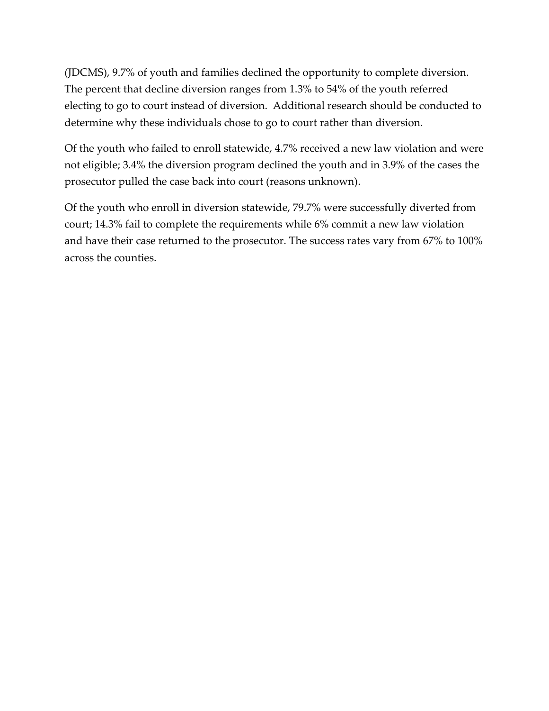(JDCMS), 9.7% of youth and families declined the opportunity to complete diversion. The percent that decline diversion ranges from 1.3% to 54% of the youth referred electing to go to court instead of diversion. Additional research should be conducted to determine why these individuals chose to go to court rather than diversion.

Of the youth who failed to enroll statewide, 4.7% received a new law violation and were not eligible; 3.4% the diversion program declined the youth and in 3.9% of the cases the prosecutor pulled the case back into court (reasons unknown).

Of the youth who enroll in diversion statewide, 79.7% were successfully diverted from court; 14.3% fail to complete the requirements while 6% commit a new law violation and have their case returned to the prosecutor. The success rates vary from 67% to 100% across the counties.